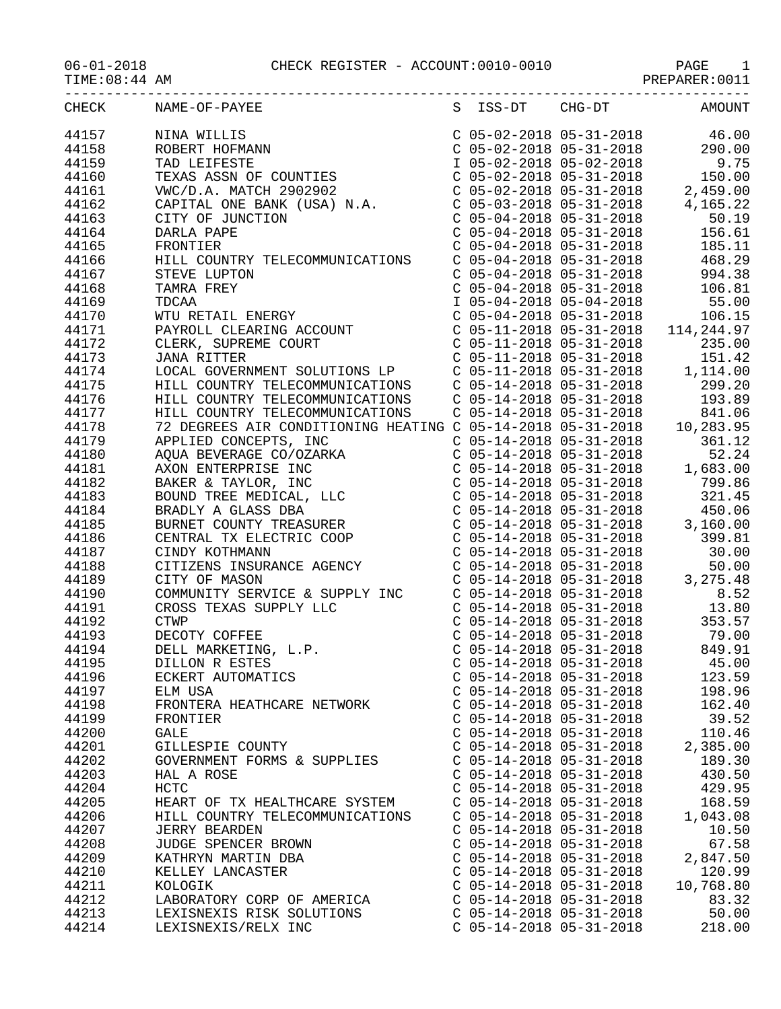-----------------------------------------------------------------------------------

| $06 - 01 - 2018$ |  |
|------------------|--|
|------------------|--|

| <b>CHECK</b> | NAME-OF-PAYEE<br>NINA WILLIS<br>ROBERT HOFMANN<br>TAD LEIFESTE<br>TEXAS ASSN OF COUNTIES<br>VWC/D.A. MATCH 2902902<br>CAPITAL ONE BANK (USA) N.A.<br>CITY OF JUNCTION<br>DARLA PAPE<br>FRONTIER                                                                                                                                                                           | S ISS-DT                  | $CHG-DT$ | AMOUNT                                                                                                                                                                                                                                         |
|--------------|---------------------------------------------------------------------------------------------------------------------------------------------------------------------------------------------------------------------------------------------------------------------------------------------------------------------------------------------------------------------------|---------------------------|----------|------------------------------------------------------------------------------------------------------------------------------------------------------------------------------------------------------------------------------------------------|
| 44157        |                                                                                                                                                                                                                                                                                                                                                                           |                           |          | $C$ 05-02-2018 05-31-2018 46.00                                                                                                                                                                                                                |
| 44158        |                                                                                                                                                                                                                                                                                                                                                                           |                           |          | $C$ 05-02-2018 05-31-2018 290.00                                                                                                                                                                                                               |
| 44159        |                                                                                                                                                                                                                                                                                                                                                                           |                           |          |                                                                                                                                                                                                                                                |
| 44160        |                                                                                                                                                                                                                                                                                                                                                                           |                           |          | 1 05-02-2018 05-02-2018<br>C 05-02-2018 05-02-2018<br>C 05-02-2018 05-31-2018<br>C 05-02-2018 05-31-2018<br>C 05-03-2018 05-31-2018<br>C 05-04-2018 05-31-2018<br>C 05-04-2018 05-31-2018<br>C 05-04-2018 05-31-2018<br>C 05-04-2018 05-31-201 |
| 44161        |                                                                                                                                                                                                                                                                                                                                                                           |                           |          |                                                                                                                                                                                                                                                |
| 44162        |                                                                                                                                                                                                                                                                                                                                                                           |                           |          |                                                                                                                                                                                                                                                |
| 44163        |                                                                                                                                                                                                                                                                                                                                                                           |                           |          |                                                                                                                                                                                                                                                |
| 44164        |                                                                                                                                                                                                                                                                                                                                                                           |                           |          |                                                                                                                                                                                                                                                |
| 44165        | FRONTIER                                                                                                                                                                                                                                                                                                                                                                  |                           |          | C $05-04-2018$ $05-31-2018$ 185.11                                                                                                                                                                                                             |
| 44166        | HILL COUNTRY TELECOMMUNICATIONS                                                                                                                                                                                                                                                                                                                                           |                           |          |                                                                                                                                                                                                                                                |
| 44167        |                                                                                                                                                                                                                                                                                                                                                                           |                           |          | $\begin{array}{llllll} \mbox{C} & 05-04-2018 & 05-31-2018 & 468.29 \\ \mbox{C} & 05-04-2018 & 05-31-2018 & 994.38 \\ \mbox{C} & 05-04-2018 & 05-31-2018 & 106.81 \end{array}$                                                                  |
| 44168        |                                                                                                                                                                                                                                                                                                                                                                           |                           |          |                                                                                                                                                                                                                                                |
| 44169        |                                                                                                                                                                                                                                                                                                                                                                           |                           |          |                                                                                                                                                                                                                                                |
| 44170        |                                                                                                                                                                                                                                                                                                                                                                           |                           |          |                                                                                                                                                                                                                                                |
| 44171        |                                                                                                                                                                                                                                                                                                                                                                           |                           |          |                                                                                                                                                                                                                                                |
| 44172        |                                                                                                                                                                                                                                                                                                                                                                           |                           |          |                                                                                                                                                                                                                                                |
| 44173        | STEVE LUPTON<br>STEVE LUPTON<br>TAMRA FREY<br>TAMRA FREY<br>CO5-04-2018 05-31-2018<br>CO5-04-2018 05-31-2018<br>CO5-04-2018 05-31-2018<br>DOCA<br>TDCAA<br>IOS-04-2018 05-31-2018<br>STEVE LUPTON<br>CO5-04-2018 05-31-2018<br>STEVE LUPTON<br>COS-04-20                                                                                                                  |                           |          |                                                                                                                                                                                                                                                |
| 44174        |                                                                                                                                                                                                                                                                                                                                                                           |                           |          |                                                                                                                                                                                                                                                |
| 44175        | HILL COUNTRY TELECOMMUNICATIONS C 05-14-2018 05-31-2018 299.20                                                                                                                                                                                                                                                                                                            |                           |          |                                                                                                                                                                                                                                                |
| 44176        |                                                                                                                                                                                                                                                                                                                                                                           |                           |          |                                                                                                                                                                                                                                                |
| 44177        |                                                                                                                                                                                                                                                                                                                                                                           |                           |          |                                                                                                                                                                                                                                                |
| 44178        | HILL COUNTRY TELECOMMUNICATIONS C 05-14-2018 05-31-2018 193.89<br>HILL COUNTRY TELECOMMUNICATIONS C 05-14-2018 05-31-2018 841.06<br>72 DEGREES AIR CONDITIONING HEATING C 05-14-2018 05-31-2018 10,283.95                                                                                                                                                                 |                           |          |                                                                                                                                                                                                                                                |
| 44179        |                                                                                                                                                                                                                                                                                                                                                                           |                           |          | $C$ 05-14-2018 05-31-2018 361.12                                                                                                                                                                                                               |
| 44180        |                                                                                                                                                                                                                                                                                                                                                                           |                           |          |                                                                                                                                                                                                                                                |
| 44181        |                                                                                                                                                                                                                                                                                                                                                                           |                           |          |                                                                                                                                                                                                                                                |
| 44182        |                                                                                                                                                                                                                                                                                                                                                                           |                           |          |                                                                                                                                                                                                                                                |
| 44183        |                                                                                                                                                                                                                                                                                                                                                                           |                           |          |                                                                                                                                                                                                                                                |
| 44184        |                                                                                                                                                                                                                                                                                                                                                                           |                           |          |                                                                                                                                                                                                                                                |
| 44185        |                                                                                                                                                                                                                                                                                                                                                                           |                           |          |                                                                                                                                                                                                                                                |
| 44186        |                                                                                                                                                                                                                                                                                                                                                                           |                           |          |                                                                                                                                                                                                                                                |
| 44187        |                                                                                                                                                                                                                                                                                                                                                                           |                           |          |                                                                                                                                                                                                                                                |
| 44188        | $\begin{tabular}{l c c c c c c} \hline \textbf{72 DEGREES} & \textbf{AIR} & \textbf{COMDITIONING HERTING} & \textbf{0 5-14-2018} & \textbf{0 5-31-2018} & \textbf{10,283.95} \\ \hline \textbf{APLIEID CONCEPTS} & \textbf{C0 5-14-2018} & \textbf{0 5-31-2018} & \textbf{5 2.24} & \textbf{361.12} & \textbf{361.12} \\ \textbf{AQUA EVTERPRISE C/OZARKA} & \textbf{C 0$ |                           |          | C 05-14-2018 05-31-2018<br>C 05-14-2018 05-31-2018 50.00<br>C 05-14-2018 05-31-2018 50.00<br>C 05-14-2018 05-31-2018 3,275.48<br>C 05-14-2018 05-31-2018 8.52                                                                                  |
| 44189        |                                                                                                                                                                                                                                                                                                                                                                           |                           |          |                                                                                                                                                                                                                                                |
| 44190        | COMMUNITY SERVICE & SUPPLY INC<br>CROSS TEXAS SUPPLY LLC<br>CTWP<br>DECOTY COFFEE<br>DELL MARKETING, L.P.<br>DILLON R ESTES<br>FCKEPT AUTOMATICS                                                                                                                                                                                                                          |                           |          |                                                                                                                                                                                                                                                |
| 44191        |                                                                                                                                                                                                                                                                                                                                                                           |                           |          | $C$ 05-14-2018 05-31-2018 13.80                                                                                                                                                                                                                |
| 44192        |                                                                                                                                                                                                                                                                                                                                                                           |                           |          | C $05-14-2018$ $05-31-2018$ 353.57                                                                                                                                                                                                             |
| 44193        |                                                                                                                                                                                                                                                                                                                                                                           |                           |          |                                                                                                                                                                                                                                                |
| 44194        |                                                                                                                                                                                                                                                                                                                                                                           |                           |          | $\left( \begin{array}{ccc} C & 05-14-2018 & 05-31-2018 & 79.00 \\ C & 05-14-2018 & 05-31-2018 & 849.91 \\ C & 05-14-2018 & 05-31-2018 & 45.00 \end{array} \right)$                                                                             |
| 44195        |                                                                                                                                                                                                                                                                                                                                                                           |                           |          |                                                                                                                                                                                                                                                |
| 44196        | ECKERT AUTOMATICS                                                                                                                                                                                                                                                                                                                                                         | $C$ 05-14-2018 05-31-2018 |          | 123.59                                                                                                                                                                                                                                         |
| 44197        | ELM USA                                                                                                                                                                                                                                                                                                                                                                   | $C$ 05-14-2018 05-31-2018 |          | 198.96                                                                                                                                                                                                                                         |
| 44198        | FRONTERA HEATHCARE NETWORK                                                                                                                                                                                                                                                                                                                                                | $C$ 05-14-2018 05-31-2018 |          | 162.40                                                                                                                                                                                                                                         |
| 44199        | FRONTIER                                                                                                                                                                                                                                                                                                                                                                  | $C$ 05-14-2018 05-31-2018 |          | 39.52                                                                                                                                                                                                                                          |
| 44200        | GALE                                                                                                                                                                                                                                                                                                                                                                      | $C$ 05-14-2018 05-31-2018 |          | 110.46                                                                                                                                                                                                                                         |
| 44201        | GILLESPIE COUNTY                                                                                                                                                                                                                                                                                                                                                          | $C$ 05-14-2018 05-31-2018 |          | 2,385.00                                                                                                                                                                                                                                       |
| 44202        | GOVERNMENT FORMS & SUPPLIES                                                                                                                                                                                                                                                                                                                                               | $C$ 05-14-2018 05-31-2018 |          | 189.30                                                                                                                                                                                                                                         |
| 44203        | HAL A ROSE                                                                                                                                                                                                                                                                                                                                                                | $C$ 05-14-2018 05-31-2018 |          | 430.50                                                                                                                                                                                                                                         |
| 44204        | HCTC                                                                                                                                                                                                                                                                                                                                                                      | $C$ 05-14-2018 05-31-2018 |          | 429.95                                                                                                                                                                                                                                         |
| 44205        | HEART OF TX HEALTHCARE SYSTEM                                                                                                                                                                                                                                                                                                                                             | $C$ 05-14-2018 05-31-2018 |          | 168.59                                                                                                                                                                                                                                         |
| 44206        | HILL COUNTRY TELECOMMUNICATIONS                                                                                                                                                                                                                                                                                                                                           | $C$ 05-14-2018 05-31-2018 |          | 1,043.08                                                                                                                                                                                                                                       |
| 44207        | <b>JERRY BEARDEN</b>                                                                                                                                                                                                                                                                                                                                                      | $C$ 05-14-2018 05-31-2018 |          | 10.50                                                                                                                                                                                                                                          |
| 44208        | JUDGE SPENCER BROWN                                                                                                                                                                                                                                                                                                                                                       | $C$ 05-14-2018 05-31-2018 |          | 67.58                                                                                                                                                                                                                                          |
| 44209        | KATHRYN MARTIN DBA                                                                                                                                                                                                                                                                                                                                                        | $C$ 05-14-2018 05-31-2018 |          | 2,847.50                                                                                                                                                                                                                                       |
| 44210        | KELLEY LANCASTER                                                                                                                                                                                                                                                                                                                                                          | $C$ 05-14-2018 05-31-2018 |          | 120.99                                                                                                                                                                                                                                         |
| 44211        | KOLOGIK                                                                                                                                                                                                                                                                                                                                                                   | $C$ 05-14-2018 05-31-2018 |          | 10,768.80                                                                                                                                                                                                                                      |
| 44212        | LABORATORY CORP OF AMERICA                                                                                                                                                                                                                                                                                                                                                | $C$ 05-14-2018 05-31-2018 |          | 83.32                                                                                                                                                                                                                                          |
| 44213        | LEXISNEXIS RISK SOLUTIONS                                                                                                                                                                                                                                                                                                                                                 | $C$ 05-14-2018 05-31-2018 |          | 50.00                                                                                                                                                                                                                                          |
| 44214        | LEXISNEXIS/RELX INC                                                                                                                                                                                                                                                                                                                                                       | $C$ 05-14-2018 05-31-2018 |          | 218.00                                                                                                                                                                                                                                         |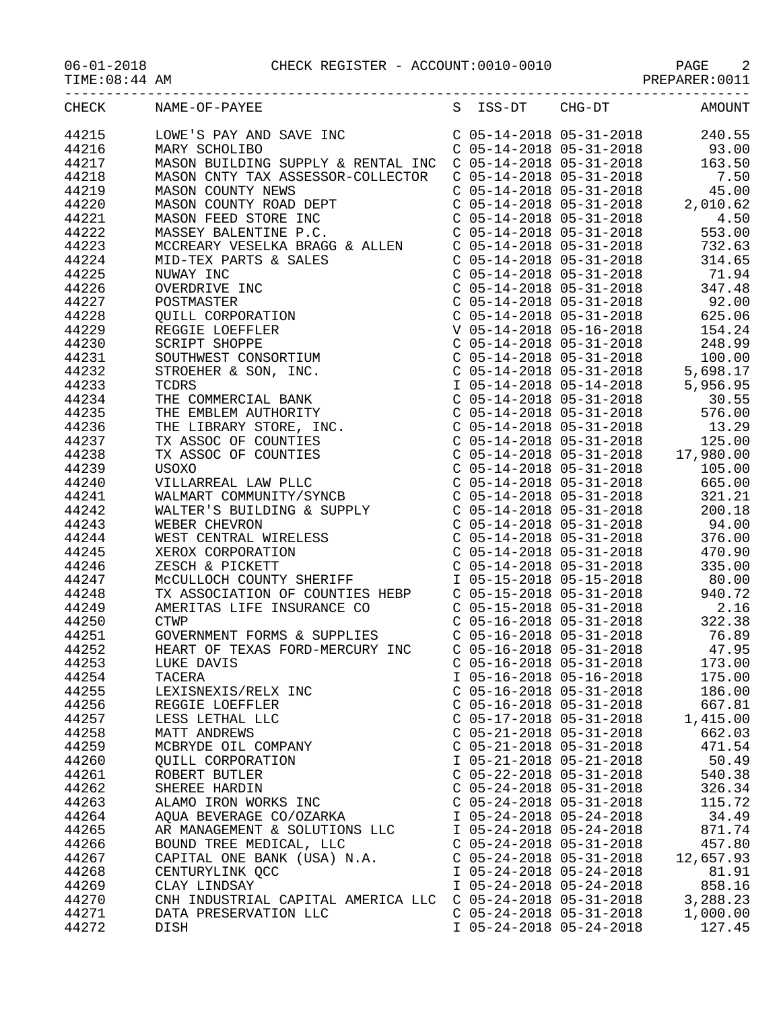06-01-2018 CHECK REGISTER - ACCOUNT:0010-0010 PAGE 2

|  | $06 - 01 - 2018$ |  |  |  |
|--|------------------|--|--|--|
|--|------------------|--|--|--|

TIME:08:44 AM PREPARER:0011 -----------------------------------------------------------------------------------

CHECK NAME-OF-PAYEE

44215 LOWE'S PAY AND SAVE INC C 05-14-2018 05-31-2018 240.55 44216 MARY SCHOLIBO C 05-14-2018 05-31-2018 93.00 44217 MASON BUILDING SUPPLY & RENTAL INC C 05-14-2018 05-31-2018 163.50

| 44218 | MASON CNTY TAX ASSESSOR-COLLECTOR                                                                                                                                                                                                                                                                                                                                                      | $C$ 05-14-2018 05-31-2018                                                     | 7.50                                                                                                                                                                                                                                                                                     |
|-------|----------------------------------------------------------------------------------------------------------------------------------------------------------------------------------------------------------------------------------------------------------------------------------------------------------------------------------------------------------------------------------------|-------------------------------------------------------------------------------|------------------------------------------------------------------------------------------------------------------------------------------------------------------------------------------------------------------------------------------------------------------------------------------|
| 44219 | MASON COUNTY NEWS<br>MASON COUNTY ROAD DEPT                                                                                                                                                                                                                                                                                                                                            |                                                                               | $C$ 05-14-2018 05-31-2018 45.00                                                                                                                                                                                                                                                          |
| 44220 |                                                                                                                                                                                                                                                                                                                                                                                        |                                                                               | C $05-14-2018$ $05-31-2018$ 2,010.62                                                                                                                                                                                                                                                     |
| 44221 |                                                                                                                                                                                                                                                                                                                                                                                        |                                                                               |                                                                                                                                                                                                                                                                                          |
| 44222 | MASON FEED STORE INC<br>MASSEY BALENTINE P.C.<br>MASON FEED STORE INC<br>MASSEY BALENTINE P.C. C. CO5-14-2018 05-31-2018 553.00<br>MCCREARY VESELKA BRAGG & ALLEN CO5-14-2018 05-31-2018 732.63                                                                                                                                                                                        |                                                                               |                                                                                                                                                                                                                                                                                          |
| 44223 |                                                                                                                                                                                                                                                                                                                                                                                        |                                                                               |                                                                                                                                                                                                                                                                                          |
| 44224 |                                                                                                                                                                                                                                                                                                                                                                                        |                                                                               | C $05-14-2018$ $05-31-2018$ $314.65$                                                                                                                                                                                                                                                     |
| 44225 |                                                                                                                                                                                                                                                                                                                                                                                        |                                                                               |                                                                                                                                                                                                                                                                                          |
| 44226 |                                                                                                                                                                                                                                                                                                                                                                                        |                                                                               |                                                                                                                                                                                                                                                                                          |
| 44227 |                                                                                                                                                                                                                                                                                                                                                                                        |                                                                               |                                                                                                                                                                                                                                                                                          |
| 44228 |                                                                                                                                                                                                                                                                                                                                                                                        |                                                                               | $\left( \begin{array}{ccc} \verb+CO5-14-2018 & 05-31-2018 & 92.00 \\ \verb+CO5-14-2018 & 05-31-2018 & 625.06 \\ \verb+V 05-14-2018 & 05-16-2018 & 154.24 \\ \end{array} \right)$                                                                                                         |
| 44229 |                                                                                                                                                                                                                                                                                                                                                                                        |                                                                               |                                                                                                                                                                                                                                                                                          |
| 44230 |                                                                                                                                                                                                                                                                                                                                                                                        |                                                                               |                                                                                                                                                                                                                                                                                          |
| 44231 |                                                                                                                                                                                                                                                                                                                                                                                        |                                                                               |                                                                                                                                                                                                                                                                                          |
| 44232 |                                                                                                                                                                                                                                                                                                                                                                                        |                                                                               |                                                                                                                                                                                                                                                                                          |
| 44233 |                                                                                                                                                                                                                                                                                                                                                                                        |                                                                               |                                                                                                                                                                                                                                                                                          |
| 44234 |                                                                                                                                                                                                                                                                                                                                                                                        |                                                                               |                                                                                                                                                                                                                                                                                          |
| 44235 |                                                                                                                                                                                                                                                                                                                                                                                        |                                                                               |                                                                                                                                                                                                                                                                                          |
|       |                                                                                                                                                                                                                                                                                                                                                                                        |                                                                               |                                                                                                                                                                                                                                                                                          |
| 44236 |                                                                                                                                                                                                                                                                                                                                                                                        |                                                                               |                                                                                                                                                                                                                                                                                          |
| 44237 |                                                                                                                                                                                                                                                                                                                                                                                        |                                                                               |                                                                                                                                                                                                                                                                                          |
| 44238 |                                                                                                                                                                                                                                                                                                                                                                                        |                                                                               |                                                                                                                                                                                                                                                                                          |
| 44239 | $\begin{tabular}{l c c c c c} \mbox{MCCRBAY VESELKA BRAGG &\&ALEN &\ &C&05-14-2018&05-31-2018&732.63\\ \mbox{MUMAY INC}\\ \mbox{MUMAY INC}\\ \mbox{DCERDRITY PINC}\\ \mbox{DCERDRITY INC}\\ \mbox{DCERDRITY INC}\\ \mbox{DCERDRAY INC}\\ \mbox{DCERDRAY INC}\\ \mbox{DCERDRAY INC}\\ \mbox{DCERORAY INC}\\ \mbox{DCERORAY INC}\\ \mbox{DCERORAY INC}\\ \mbox{DCERAY INC}\\ \mbox{DCER$ |                                                                               |                                                                                                                                                                                                                                                                                          |
| 44240 |                                                                                                                                                                                                                                                                                                                                                                                        |                                                                               |                                                                                                                                                                                                                                                                                          |
| 44241 |                                                                                                                                                                                                                                                                                                                                                                                        |                                                                               |                                                                                                                                                                                                                                                                                          |
| 44242 | WALTER'S BUILDING & SUPPLY<br>WEBER CHEVRON<br>WEBER CHEVRON<br>WEST CENTRAL WIRELESS<br>XEROX CORPORATION<br>XEROX CORPORATION<br>XESCH & PICKETT<br>XESCH & PICKETT<br>XESCH & PICKETT<br>XESCH & PICKETT<br>XESCH & PICKETT<br>XESCH & PICKETT<br>X                                                                                                                                 |                                                                               | 200.18                                                                                                                                                                                                                                                                                   |
| 44243 |                                                                                                                                                                                                                                                                                                                                                                                        |                                                                               |                                                                                                                                                                                                                                                                                          |
| 44244 |                                                                                                                                                                                                                                                                                                                                                                                        |                                                                               |                                                                                                                                                                                                                                                                                          |
| 44245 |                                                                                                                                                                                                                                                                                                                                                                                        |                                                                               | $\begin{array}{llll} \mbox{C} & 05\!-\!14\!-\!2018 & 05\!-\!31\!-\!2018 & 94\!-\!00 \ \mbox{C} & 05\!-\!14\!-\!2018 & 05\!-\!31\!-\!2018 & 376\!-\!00 \ \mbox{C} & 05\!-\!14\!-\!2018 & 05\!-\!31\!-\!2018 & 470\!-\!90 \ \mbox{C} & 05\!-\!14\!-\!2018 & 05\!-\!31\!-\!2018 & 335\!-\!$ |
| 44246 |                                                                                                                                                                                                                                                                                                                                                                                        |                                                                               |                                                                                                                                                                                                                                                                                          |
| 44247 | MCCULLOCH COUNTY SHERIFF                                                                                                                                                                                                                                                                                                                                                               | I 05-15-2018 05-15-2018                                                       | 80.00                                                                                                                                                                                                                                                                                    |
| 44248 |                                                                                                                                                                                                                                                                                                                                                                                        |                                                                               | 940.72                                                                                                                                                                                                                                                                                   |
| 44249 | AMERITAS LIFE INSURANCE CO                                                                                                                                                                                                                                                                                                                                                             | $C$ 05-15-2018 05-31-2018                                                     | 2.16<br>$2.16$<br>322.38                                                                                                                                                                                                                                                                 |
| 44250 | <b>CTWP</b>                                                                                                                                                                                                                                                                                                                                                                            | C 05-16-2018 05-31-2018<br>C 05-16-2018 05-31-2018                            |                                                                                                                                                                                                                                                                                          |
| 44251 | GOVERNMENT FORMS & SUPPLIES                                                                                                                                                                                                                                                                                                                                                            |                                                                               | 76.89                                                                                                                                                                                                                                                                                    |
| 44252 | HEART OF TEXAS FORD-MERCURY INC                                                                                                                                                                                                                                                                                                                                                        |                                                                               | $C$ 05-16-2018 05-31-2018 47.95                                                                                                                                                                                                                                                          |
| 44253 |                                                                                                                                                                                                                                                                                                                                                                                        |                                                                               | $C$ 05-16-2018 05-31-2018 173.00                                                                                                                                                                                                                                                         |
| 44254 |                                                                                                                                                                                                                                                                                                                                                                                        | I 05-16-2018 05-16-2018                                                       | 175.00                                                                                                                                                                                                                                                                                   |
| 44255 | LUNE DAVIS<br>TACERA<br>LEXISNEXIS/RELX INC<br>REGGIE LOEFFLER<br>LESS LETHAL LLC<br>MATT ANDREWS<br>MCBRYDE OIL COMPANY                                                                                                                                                                                                                                                               | C 05-16-2018 05-31-2018<br>C 05-16-2018 05-31-2018<br>C 05-17-2018 05-31-2018 | 186.00<br>667.81                                                                                                                                                                                                                                                                         |
| 44256 |                                                                                                                                                                                                                                                                                                                                                                                        |                                                                               |                                                                                                                                                                                                                                                                                          |
| 44257 |                                                                                                                                                                                                                                                                                                                                                                                        |                                                                               | 1,415.00                                                                                                                                                                                                                                                                                 |
| 44258 |                                                                                                                                                                                                                                                                                                                                                                                        | $C$ 05-21-2018 05-31-2018                                                     | 662.03                                                                                                                                                                                                                                                                                   |
| 44259 |                                                                                                                                                                                                                                                                                                                                                                                        | $C$ 05-21-2018 05-31-2018                                                     | 471.54                                                                                                                                                                                                                                                                                   |
| 44260 | QUILL CORPORATION                                                                                                                                                                                                                                                                                                                                                                      | I 05-21-2018 05-21-2018                                                       | 50.49                                                                                                                                                                                                                                                                                    |
| 44261 | ROBERT BUTLER                                                                                                                                                                                                                                                                                                                                                                          | $C$ 05-22-2018 05-31-2018                                                     | 540.38                                                                                                                                                                                                                                                                                   |
| 44262 | SHEREE HARDIN                                                                                                                                                                                                                                                                                                                                                                          | $C$ 05-24-2018 05-31-2018                                                     | 326.34                                                                                                                                                                                                                                                                                   |
| 44263 | ALAMO IRON WORKS INC                                                                                                                                                                                                                                                                                                                                                                   | $C$ 05-24-2018 05-31-2018                                                     | 115.72                                                                                                                                                                                                                                                                                   |
| 44264 | AQUA BEVERAGE CO/OZARKA                                                                                                                                                                                                                                                                                                                                                                | I 05-24-2018 05-24-2018                                                       | 34.49                                                                                                                                                                                                                                                                                    |
| 44265 | AR MANAGEMENT & SOLUTIONS LLC                                                                                                                                                                                                                                                                                                                                                          | I 05-24-2018 05-24-2018                                                       | 871.74                                                                                                                                                                                                                                                                                   |
| 44266 | BOUND TREE MEDICAL, LLC                                                                                                                                                                                                                                                                                                                                                                | $C$ 05-24-2018 05-31-2018                                                     | 457.80                                                                                                                                                                                                                                                                                   |
| 44267 | CAPITAL ONE BANK (USA) N.A.                                                                                                                                                                                                                                                                                                                                                            | $C$ 05-24-2018 05-31-2018                                                     | 12,657.93                                                                                                                                                                                                                                                                                |
| 44268 | CENTURYLINK QCC                                                                                                                                                                                                                                                                                                                                                                        | I 05-24-2018 05-24-2018                                                       | 81.91                                                                                                                                                                                                                                                                                    |
| 44269 | CLAY LINDSAY                                                                                                                                                                                                                                                                                                                                                                           | I 05-24-2018 05-24-2018                                                       | 858.16                                                                                                                                                                                                                                                                                   |
| 44270 | CNH INDUSTRIAL CAPITAL AMERICA LLC                                                                                                                                                                                                                                                                                                                                                     | $C$ 05-24-2018 05-31-2018                                                     | 3,288.23                                                                                                                                                                                                                                                                                 |
| 44271 | DATA PRESERVATION LLC                                                                                                                                                                                                                                                                                                                                                                  | $C$ 05-24-2018 05-31-2018                                                     | 1,000.00                                                                                                                                                                                                                                                                                 |
| 44272 | DISH                                                                                                                                                                                                                                                                                                                                                                                   | I 05-24-2018 05-24-2018                                                       | 127.45                                                                                                                                                                                                                                                                                   |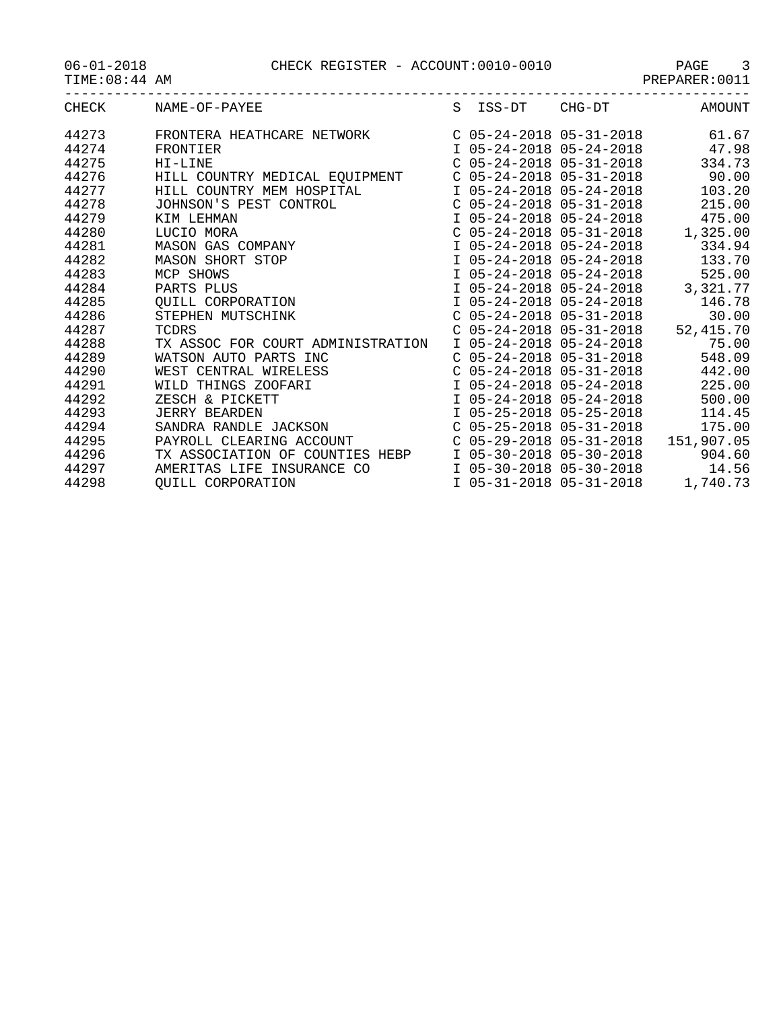06-01-2018 CHECK REGISTER - ACCOUNT:0010-0010 PAGE 3

|  | $06 - 01 - 2018$ |  |  |  |
|--|------------------|--|--|--|
|--|------------------|--|--|--|

| TIME:08:44 AM | PREPARER: 0011 |
|---------------|----------------|
|               |                |

| . IVI F.<br>A <sub>1</sub> |  | . .<br>56. P. P<br>. |
|----------------------------|--|----------------------|
|                            |  |                      |

| <b>CHECK</b> | NAME-OF-PAYEE                                                                                                     | S ISS-DT | $CHG-DT$                  | AMOUNT                             |
|--------------|-------------------------------------------------------------------------------------------------------------------|----------|---------------------------|------------------------------------|
| 44273        | FRONTERA HEATHCARE NETWORK                                                                                        |          | C 05-24-2018 05-31-2018   | 61.67                              |
| 44274        | FRONTIER                                                                                                          |          |                           | I 05-24-2018 05-24-2018 47.98      |
| 44275        | HI-LINE                                                                                                           |          | $C$ 05-24-2018 05-31-2018 | 334.73                             |
| 44276        | HILL COUNTRY MEDICAL EQUIPMENT                                                                                    |          | $C$ 05-24-2018 05-31-2018 | 90.00                              |
| 44277        | HILL COUNTRY MEM HOSPITAL                                                                                         |          | I 05-24-2018 05-24-2018   | 103.20                             |
| 44278        | JOHNSON'S PEST CONTROL                                                                                            |          | C 05-24-2018 05-31-2018   | 215.00                             |
| 44279        |                                                                                                                   |          | I 05-24-2018 05-24-2018   | 475.00                             |
| 44280        |                                                                                                                   |          | $C$ 05-24-2018 05-31-2018 | 1,325.00                           |
| 44281        |                                                                                                                   |          | I 05-24-2018 05-24-2018   | 334.94                             |
| 44282        | KIM LEHMAN<br>LUCIO MORA<br>MASON GAS COMPANY<br>MASON SHORT STOP<br>MCP SHOWS<br>PARTS PLUS<br>OUILL CORPORATION |          | I 05-24-2018 05-24-2018   | 133.70                             |
| 44283        |                                                                                                                   |          | I 05-24-2018 05-24-2018   | 525.00                             |
| 44284        |                                                                                                                   |          | I 05-24-2018 05-24-2018   | 3,321.77                           |
| 44285        | <b>OUILL CORPORATION</b>                                                                                          |          | I 05-24-2018 05-24-2018   | 146.78                             |
| 44286        | STEPHEN MUTSCHINK                                                                                                 |          | $C$ 05-24-2018 05-31-2018 | 30.00                              |
| 44287        | TCDRS                                                                                                             |          | $C$ 05-24-2018 05-31-2018 | 52, 415.70                         |
| 44288        | TX ASSOC FOR COURT ADMINISTRATION                                                                                 |          | I 05-24-2018 05-24-2018   | 75.00                              |
| 44289        | WATSON AUTO PARTS INC                                                                                             |          | C 05-24-2018 05-31-2018   | 548.09                             |
| 44290        | WEST CENTRAL WIRELESS                                                                                             |          | $C$ 05-24-2018 05-31-2018 | 442.00                             |
| 44291        | WILD THINGS ZOOFARI                                                                                               |          | I 05-24-2018 05-24-2018   | 225.00                             |
| 44292        | ZESCH & PICKETT                                                                                                   |          | I 05-24-2018 05-24-2018   | 500.00                             |
| 44293        | <b>JERRY BEARDEN</b>                                                                                              |          | I 05-25-2018 05-25-2018   | 114.45                             |
| 44294        | SANDRA RANDLE JACKSON                                                                                             |          | C 05-25-2018 05-31-2018   | 175.00                             |
| 44295        | PAYROLL CLEARING ACCOUNT                                                                                          |          |                           | C 05-29-2018 05-31-2018 151,907.05 |
| 44296        | TX ASSOCIATION OF COUNTIES HEBP                                                                                   |          | I 05-30-2018 05-30-2018   | 904.60                             |
| 44297        | AMERITAS LIFE INSURANCE CO                                                                                        |          | I 05-30-2018 05-30-2018   | 14.56                              |
| 44298        | <b>QUILL CORPORATION</b>                                                                                          |          | I 05-31-2018 05-31-2018   | 1,740.73                           |